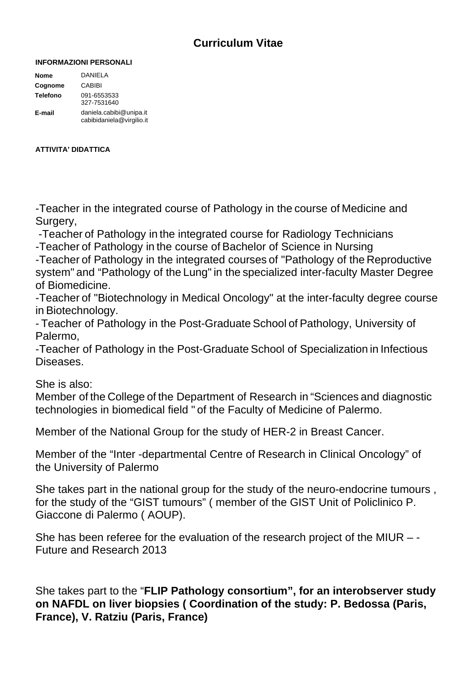## **Curriculum Vitae**

## **INFORMAZIONI PERSONALI**

| <b>Nome</b>     | DANIELA                                              |
|-----------------|------------------------------------------------------|
| Cognome         | CABIBI                                               |
| <b>Telefono</b> | 091-6553533<br>327-7531640                           |
| E-mail          | daniela.cabibi@unipa.it<br>cabibidaniela@virgilio.it |

## **ATTIVITA' DIDATTICA**

-Teacher in the integrated course of Pathology in the course of Medicine and Surgery,

 -Teacher of Pathology in the integrated course for Radiology Technicians -Teacher of Pathology in the course of Bachelor of Science in Nursing

-Teacher of Pathology in the integrated courses of "Pathology of the Reproductive system" and "Pathology of the Lung" in the specialized inter-faculty Master Degree of Biomedicine.

-Teacher of "Biotechnology in Medical Oncology" at the inter-faculty degree course in Biotechnology.

- Teacher of Pathology in the Post-Graduate School of Pathology, University of Palermo,

-Teacher of Pathology in the Post-Graduate School of Specialization in Infectious Diseases.

She is also:

Member of the College of the Department of Research in "Sciences and diagnostic technologies in biomedical field " of the Faculty of Medicine of Palermo.

Member of the National Group for the study of HER-2 in Breast Cancer.

Member of the "Inter -departmental Centre of Research in Clinical Oncology" of the University of Palermo

She takes part in the national group for the study of the neuro-endocrine tumours , for the study of the "GIST tumours" ( member of the GIST Unit of Policlinico P. Giaccone di Palermo ( AOUP).

She has been referee for the evaluation of the research project of the MIUR – - Future and Research 2013

She takes part to the "**FLIP Pathology consortium", for an interobserver study on NAFDL on liver biopsies ( Coordination of the study: P. Bedossa (Paris, France), V. Ratziu (Paris, France)**